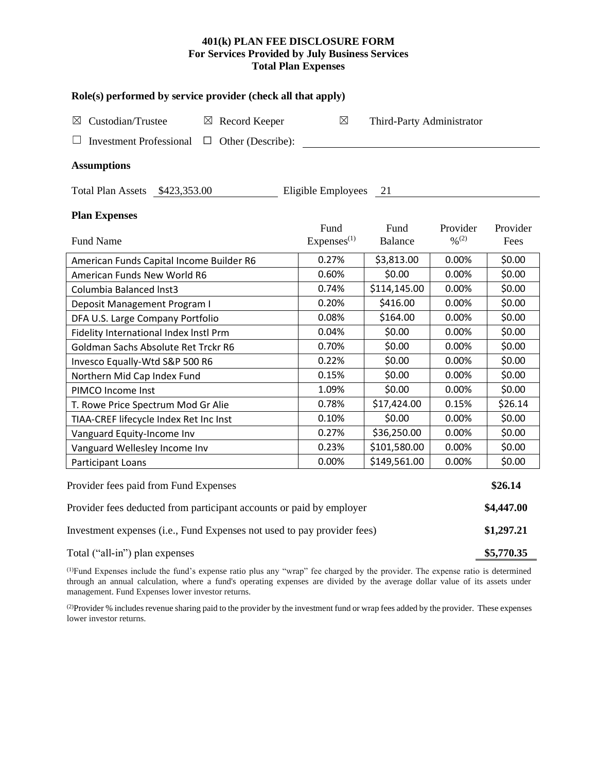# **401(k) PLAN FEE DISCLOSURE FORM For Services Provided by July Business Services Total Plan Expenses**

| Role(s) performed by service provider (check all that apply)            |                                |                           |                         |                  |  |  |  |  |  |  |
|-------------------------------------------------------------------------|--------------------------------|---------------------------|-------------------------|------------------|--|--|--|--|--|--|
| Custodian/Trustee<br>$\boxtimes$ Record Keeper<br>⊠                     | $\boxtimes$                    | Third-Party Administrator |                         |                  |  |  |  |  |  |  |
| <b>Investment Professional</b><br>Other (Describe):<br>$\Box$           |                                |                           |                         |                  |  |  |  |  |  |  |
| <b>Assumptions</b>                                                      |                                |                           |                         |                  |  |  |  |  |  |  |
| Total Plan Assets \$423,353.00                                          | Eligible Employees             | 21                        |                         |                  |  |  |  |  |  |  |
| <b>Plan Expenses</b>                                                    |                                |                           |                         |                  |  |  |  |  |  |  |
| <b>Fund Name</b>                                                        | Fund<br>Express <sup>(1)</sup> | Fund<br>Balance           | Provider<br>$0/0^{(2)}$ | Provider<br>Fees |  |  |  |  |  |  |
| American Funds Capital Income Builder R6                                | 0.27%                          | \$3,813.00                | 0.00%                   | \$0.00           |  |  |  |  |  |  |
| American Funds New World R6                                             | 0.60%                          | \$0.00                    | 0.00%                   | \$0.00           |  |  |  |  |  |  |
| Columbia Balanced Inst3                                                 | 0.74%                          | \$114,145.00              | 0.00%                   | \$0.00           |  |  |  |  |  |  |
| Deposit Management Program I                                            | 0.20%                          | \$416.00                  | 0.00%                   | \$0.00           |  |  |  |  |  |  |
| DFA U.S. Large Company Portfolio                                        | 0.08%                          | \$164.00                  | 0.00%                   | \$0.00           |  |  |  |  |  |  |
| Fidelity International Index Instl Prm                                  | 0.04%                          | \$0.00                    | 0.00%                   | \$0.00           |  |  |  |  |  |  |
| Goldman Sachs Absolute Ret Trckr R6                                     | 0.70%                          | \$0.00                    | 0.00%                   | \$0.00           |  |  |  |  |  |  |
| Invesco Equally-Wtd S&P 500 R6                                          | 0.22%                          | \$0.00                    | 0.00%                   | \$0.00           |  |  |  |  |  |  |
| Northern Mid Cap Index Fund                                             | 0.15%                          | \$0.00                    | 0.00%                   | \$0.00           |  |  |  |  |  |  |
| PIMCO Income Inst                                                       | 1.09%                          | \$0.00                    | 0.00%                   | \$0.00           |  |  |  |  |  |  |
| T. Rowe Price Spectrum Mod Gr Alie                                      | 0.78%                          | \$17,424.00               | 0.15%                   | \$26.14          |  |  |  |  |  |  |
| TIAA-CREF lifecycle Index Ret Inc Inst                                  | 0.10%                          | \$0.00                    | 0.00%                   | \$0.00           |  |  |  |  |  |  |
| Vanguard Equity-Income Inv                                              | 0.27%                          | \$36,250.00               | 0.00%                   | \$0.00           |  |  |  |  |  |  |
| Vanguard Wellesley Income Inv                                           | 0.23%                          | \$101,580.00              | 0.00%                   | \$0.00           |  |  |  |  |  |  |
| Participant Loans                                                       | 0.00%                          | \$149,561.00              | 0.00%                   | \$0.00           |  |  |  |  |  |  |
| Provider fees paid from Fund Expenses                                   |                                |                           |                         |                  |  |  |  |  |  |  |
| Provider fees deducted from participant accounts or paid by employer    |                                |                           |                         |                  |  |  |  |  |  |  |
| Investment expenses (i.e., Fund Expenses not used to pay provider fees) |                                |                           |                         |                  |  |  |  |  |  |  |

Total ("all-in") plan expenses **\$5,770.35**

(1)Fund Expenses include the fund's expense ratio plus any "wrap" fee charged by the provider. The expense ratio is determined through an annual calculation, where a fund's operating expenses are divided by the average dollar value of its assets under management. Fund Expenses lower investor returns.

(2) Provider % includes revenue sharing paid to the provider by the investment fund or wrap fees added by the provider. These expenses lower investor returns.